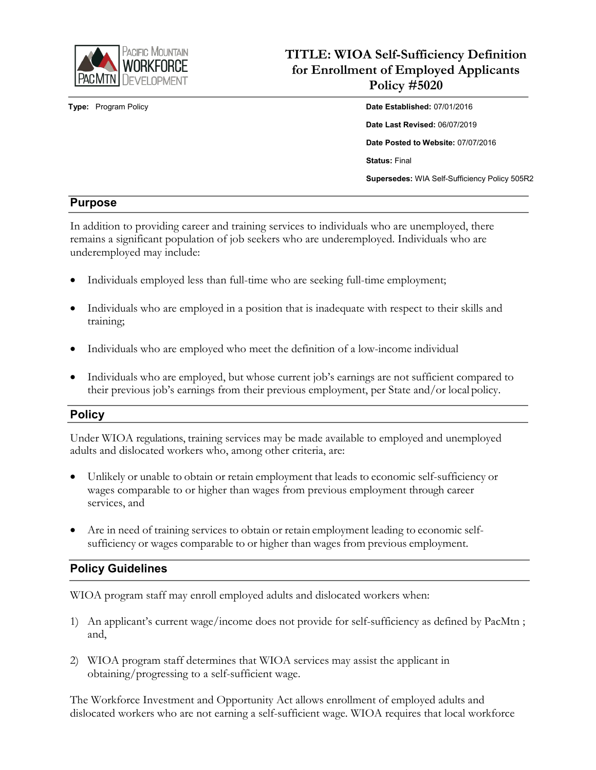

# **TITLE: WIOA Self-Sufficiency Definition for Enrollment of Employed Applicants Policy #5020**

**Type:** Program Policy **Date Established:** 07/01/2016 **Date Last Revised:** 06/07/2019 **Date Posted to Website:** 07/07/2016 **Status:** Final **Supersedes:** WIA Self-Sufficiency Policy 505R2

## **Purpose**

In addition to providing career and training services to individuals who are unemployed, there remains a significant population of job seekers who are underemployed. Individuals who are underemployed may include:

- Individuals employed less than full-time who are seeking full-time employment;
- Individuals who are employed in a position that is inadequate with respect to their skills and training;
- Individuals who are employed who meet the definition of a low-income individual
- Individuals who are employed, but whose current job's earnings are not sufficient compared to their previous job's earnings from their previous employment, per State and/or local policy.

#### **Policy**

Under WIOA regulations, training services may be made available to employed and unemployed adults and dislocated workers who, among other criteria, are:

- Unlikely or unable to obtain or retain employment that leads to economic self-sufficiency or wages comparable to or higher than wages from previous employment through career services, and
- Are in need of training services to obtain or retain employment leading to economic selfsufficiency or wages comparable to or higher than wages from previous employment.

## **Policy Guidelines**

WIOA program staff may enroll employed adults and dislocated workers when:

- 1) An applicant's current wage/income does not provide for self-sufficiency as defined by PacMtn ; and,
- 2) WIOA program staff determines that WIOA services may assist the applicant in obtaining/progressing to a self-sufficient wage.

The Workforce Investment and Opportunity Act allows enrollment of employed adults and dislocated workers who are not earning a self-sufficient wage. WIOA requires that local workforce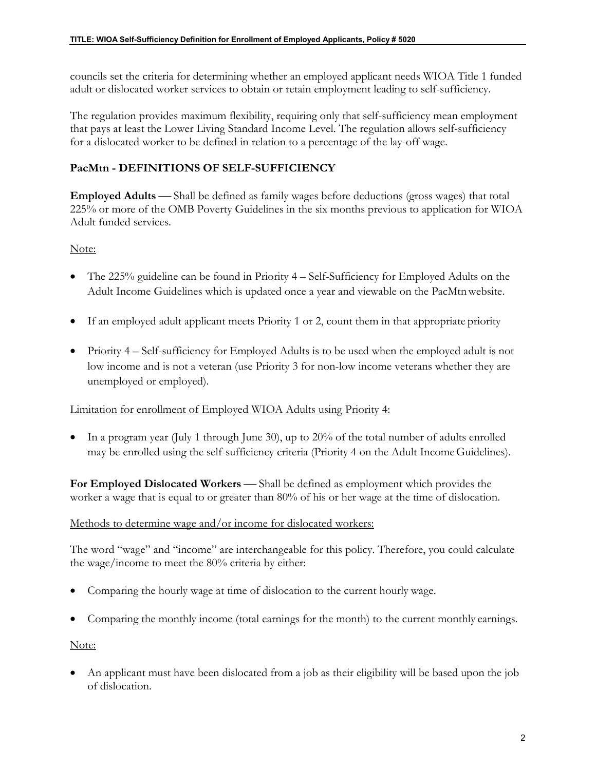councils set the criteria for determining whether an employed applicant needs WIOA Title 1 funded adult or dislocated worker services to obtain or retain employment leading to self-sufficiency.

The regulation provides maximum flexibility, requiring only that self-sufficiency mean employment that pays at least the Lower Living Standard Income Level. The regulation allows self-sufficiency for a dislocated worker to be defined in relation to a percentage of the lay-off wage.

#### **PacMtn - DEFINITIONS OF SELF-SUFFICIENCY**

**Employed Adults** — Shall be defined as family wages before deductions (gross wages) that total 225% or more of the OMB Poverty Guidelines in the six months previous to application for WIOA Adult funded services.

#### Note:

- The 225% guideline can be found in Priority 4 Self-Sufficiency for Employed Adults on the Adult Income Guidelines which is updated once a year and viewable on the PacMtnwebsite.
- If an employed adult applicant meets Priority 1 or 2, count them in that appropriate priority
- Priority 4 Self-sufficiency for Employed Adults is to be used when the employed adult is not low income and is not a veteran (use Priority 3 for non-low income veterans whether they are unemployed or employed).

#### Limitation for enrollment of Employed WIOA Adults using Priority 4:

• In a program year (July 1 through June 30), up to 20% of the total number of adults enrolled may be enrolled using the self-sufficiency criteria (Priority 4 on the Adult IncomeGuidelines).

**For Employed Dislocated Workers** — Shall be defined as employment which provides the worker a wage that is equal to or greater than 80% of his or her wage at the time of dislocation.

#### Methods to determine wage and/or income for dislocated workers:

The word "wage" and "income" are interchangeable for this policy. Therefore, you could calculate the wage/income to meet the 80% criteria by either:

- Comparing the hourly wage at time of dislocation to the current hourly wage.
- Comparing the monthly income (total earnings for the month) to the current monthly earnings.

Note:

• An applicant must have been dislocated from a job as their eligibility will be based upon the job of dislocation.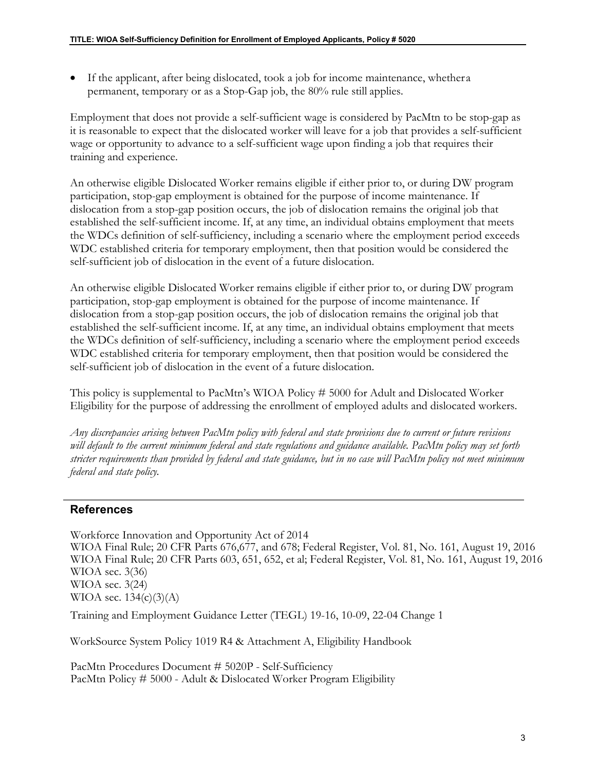• If the applicant, after being dislocated, took a job for income maintenance, whethera permanent, temporary or as a Stop-Gap job, the 80% rule still applies.

Employment that does not provide a self-sufficient wage is considered by PacMtn to be stop-gap as it is reasonable to expect that the dislocated worker will leave for a job that provides a self-sufficient wage or opportunity to advance to a self-sufficient wage upon finding a job that requires their training and experience.

An otherwise eligible Dislocated Worker remains eligible if either prior to, or during DW program participation, stop-gap employment is obtained for the purpose of income maintenance. If dislocation from a stop-gap position occurs, the job of dislocation remains the original job that established the self-sufficient income. If, at any time, an individual obtains employment that meets the WDCs definition of self-sufficiency, including a scenario where the employment period exceeds WDC established criteria for temporary employment, then that position would be considered the self-sufficient job of dislocation in the event of a future dislocation.

An otherwise eligible Dislocated Worker remains eligible if either prior to, or during DW program participation, stop-gap employment is obtained for the purpose of income maintenance. If dislocation from a stop-gap position occurs, the job of dislocation remains the original job that established the self-sufficient income. If, at any time, an individual obtains employment that meets the WDCs definition of self-sufficiency, including a scenario where the employment period exceeds WDC established criteria for temporary employment, then that position would be considered the self-sufficient job of dislocation in the event of a future dislocation.

This policy is supplemental to PacMtn's WIOA Policy # 5000 for Adult and Dislocated Worker Eligibility for the purpose of addressing the enrollment of employed adults and dislocated workers.

*Any discrepancies arising between PacMtn policy with federal and state provisions due to current or future revisions will default to the current minimum federal and state regulations and guidance available. PacMtn policy may set forth stricter requirements than provided by federal and state guidance, but in no case will PacMtn policy not meet minimum federal and state policy.*

#### **References**

Workforce Innovation and Opportunity Act of 2014 WIOA Final Rule; 20 CFR Parts 676,677, and 678; Federal Register, Vol. 81, No. 161, August 19, 2016 WIOA Final Rule; 20 CFR Parts 603, 651, 652, et al; Federal Register, Vol. 81, No. 161, August 19, 2016 WIOA sec. 3(36) WIOA sec. 3(24) WIOA sec.  $134(c)(3)(A)$ 

Training and Employment Guidance Letter (TEGL) 19-16, 10-09, 22-04 Change 1

WorkSource System Policy 1019 R4 & Attachment A, Eligibility Handbook

PacMtn Procedures Document # 5020P - Self-Sufficiency PacMtn Policy # 5000 - Adult & Dislocated Worker Program Eligibility